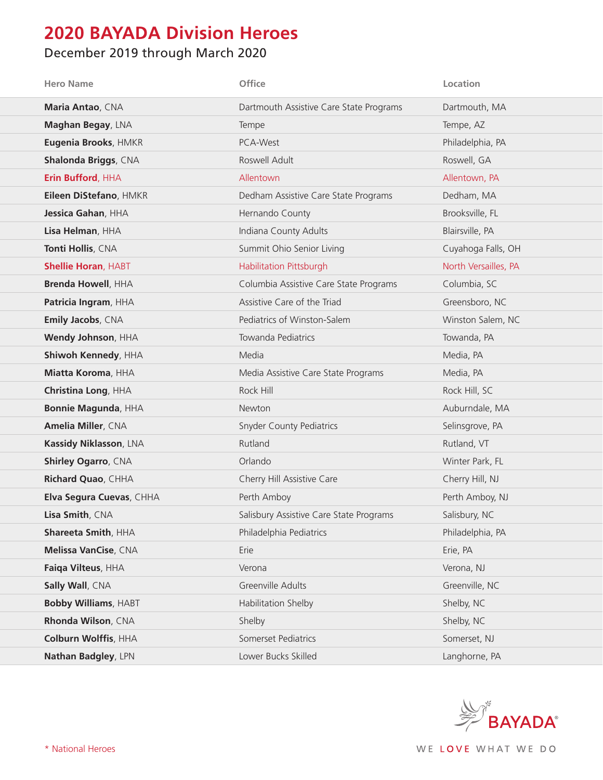## **2020 BAYADA Division Heroes**

## December 2019 through March 2020

| <b>Hero Name</b>            | <b>Office</b>                           | Location             |
|-----------------------------|-----------------------------------------|----------------------|
| Maria Antao, CNA            | Dartmouth Assistive Care State Programs | Dartmouth, MA        |
| Maghan Begay, LNA           | Tempe                                   | Tempe, AZ            |
| Eugenia Brooks, HMKR        | PCA-West                                | Philadelphia, PA     |
| Shalonda Briggs, CNA        | Roswell Adult                           | Roswell, GA          |
| Erin Bufford, HHA           | Allentown                               | Allentown, PA        |
| Eileen DiStefano, HMKR      | Dedham Assistive Care State Programs    | Dedham, MA           |
| Jessica Gahan, HHA          | Hernando County                         | Brooksville, FL      |
| Lisa Helman, HHA            | Indiana County Adults                   | Blairsville, PA      |
| Tonti Hollis, CNA           | Summit Ohio Senior Living               | Cuyahoga Falls, OH   |
| <b>Shellie Horan, HABT</b>  | Habilitation Pittsburgh                 | North Versailles, PA |
| <b>Brenda Howell, HHA</b>   | Columbia Assistive Care State Programs  | Columbia, SC         |
| Patricia Ingram, HHA        | Assistive Care of the Triad             | Greensboro, NC       |
| Emily Jacobs, CNA           | Pediatrics of Winston-Salem             | Winston Salem, NC    |
| Wendy Johnson, HHA          | Towanda Pediatrics                      | Towanda, PA          |
| Shiwoh Kennedy, HHA         | Media                                   | Media, PA            |
| Miatta Koroma, HHA          | Media Assistive Care State Programs     | Media, PA            |
| Christina Long, HHA         | Rock Hill                               | Rock Hill, SC        |
| <b>Bonnie Magunda, HHA</b>  | Newton                                  | Auburndale, MA       |
| Amelia Miller, CNA          | <b>Snyder County Pediatrics</b>         | Selinsgrove, PA      |
| Kassidy Niklasson, LNA      | Rutland                                 | Rutland, VT          |
| <b>Shirley Ogarro, CNA</b>  | Orlando                                 | Winter Park, FL      |
| Richard Quao, CHHA          | Cherry Hill Assistive Care              | Cherry Hill, NJ      |
| Elva Segura Cuevas, CHHA    | Perth Amboy                             | Perth Amboy, NJ      |
| Lisa Smith, CNA             | Salisbury Assistive Care State Programs | Salisbury, NC        |
| Shareeta Smith, HHA         | Philadelphia Pediatrics                 | Philadelphia, PA     |
| Melissa VanCise, CNA        | Erie                                    | Erie, PA             |
| Faiqa Vilteus, HHA          | Verona                                  | Verona, NJ           |
| Sally Wall, CNA             | Greenville Adults                       | Greenville, NC       |
| <b>Bobby Williams, HABT</b> | Habilitation Shelby                     | Shelby, NC           |
| Rhonda Wilson, CNA          | Shelby                                  | Shelby, NC           |
| Colburn Wolffis, HHA        | Somerset Pediatrics                     | Somerset, NJ         |
| Nathan Badgley, LPN         | Lower Bucks Skilled                     | Langhorne, PA        |

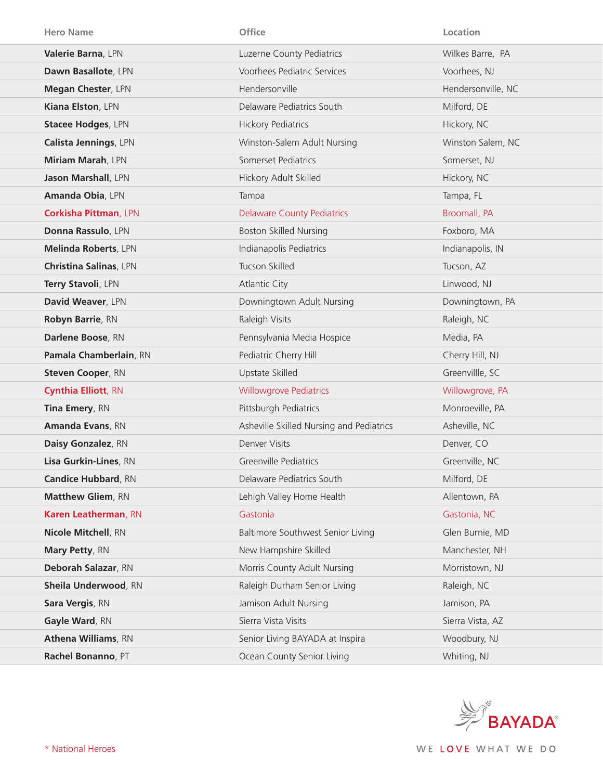| <b>Hero Name</b>              | Office                                   | Location           |
|-------------------------------|------------------------------------------|--------------------|
| Valerie Barna, LPN            | Luzerne County Pediatrics                | Wilkes Barre, PA   |
| Dawn Basallote, LPN           | <b>Voorhees Pediatric Services</b>       | Voorhees, NJ       |
| Megan Chester, LPN            | Hendersonville                           | Hendersonville, NC |
| Kiana Elston, LPN             | Delaware Pediatrics South                | Milford, DE        |
| <b>Stacee Hodges, LPN</b>     | <b>Hickory Pediatrics</b>                | Hickory, NC        |
| Calista Jennings, LPN         | Winston-Salem Adult Nursing              | Winston Salem, NC  |
| Miriam Marah, LPN             | Somerset Pediatrics                      | Somerset, NJ       |
| Jason Marshall, LPN           | Hickory Adult Skilled                    | Hickory, NC        |
| Amanda Obia, LPN              | Tampa                                    | Tampa, FL          |
| <b>Corkisha Pittman, LPN</b>  | <b>Delaware County Pediatrics</b>        | Broomall, PA       |
| Donna Rassulo, LPN            | <b>Boston Skilled Nursing</b>            | Foxboro, MA        |
| <b>Melinda Roberts, LPN</b>   | Indianapolis Pediatrics                  | Indianapolis, IN   |
| <b>Christina Salinas, LPN</b> | Tucson Skilled                           | Tucson, AZ         |
| Terry Stavoli, LPN            | <b>Atlantic City</b>                     | Linwood, NJ        |
| David Weaver, LPN             | Downingtown Adult Nursing                | Downingtown, PA    |
| Robyn Barrie, RN              | Raleigh Visits                           | Raleigh, NC        |
| Darlene Boose, RN             | Pennsylvania Media Hospice               | Media, PA          |
| Pamala Chamberlain, RN        | Pediatric Cherry Hill                    | Cherry Hill, NJ    |
| <b>Steven Cooper, RN</b>      | Upstate Skilled                          | Greenvillle, SC    |
| <b>Cynthia Elliott, RN</b>    | <b>Willowgrove Pediatrics</b>            | Willowgrove, PA    |
| Tina Emery, RN                | Pittsburgh Pediatrics                    | Monroeville, PA    |
| Amanda Evans, RN              | Asheville Skilled Nursing and Pediatrics | Asheville, NC      |
| Daisy Gonzalez, RN            | <b>Denver Visits</b>                     | Denver, CO         |
| Lisa Gurkin-Lines, RN         | <b>Greenville Pediatrics</b>             | Greenville, NC     |
| <b>Candice Hubbard, RN</b>    | Delaware Pediatrics South                | Milford, DE        |
| <b>Matthew Gliem, RN</b>      | Lehigh Valley Home Health                | Allentown, PA      |
| Karen Leatherman, RN          | Gastonia                                 | Gastonia, NC       |
| Nicole Mitchell, RN           | Baltimore Southwest Senior Living        | Glen Burnie, MD    |
| Mary Petty, RN                | New Hampshire Skilled                    | Manchester, NH     |
| Deborah Salazar, RN           | Morris County Adult Nursing              | Morristown, NJ     |
| Sheila Underwood, RN          | Raleigh Durham Senior Living             | Raleigh, NC        |
| Sara Vergis, RN               | Jamison Adult Nursing                    | Jamison, PA        |
| Gayle Ward, RN                | Sierra Vista Visits                      | Sierra Vista, AZ   |
| <b>Athena Williams, RN</b>    | Senior Living BAYADA at Inspira          | Woodbury, NJ       |
| Rachel Bonanno, PT            | Ocean County Senior Living               | Whiting, NJ        |